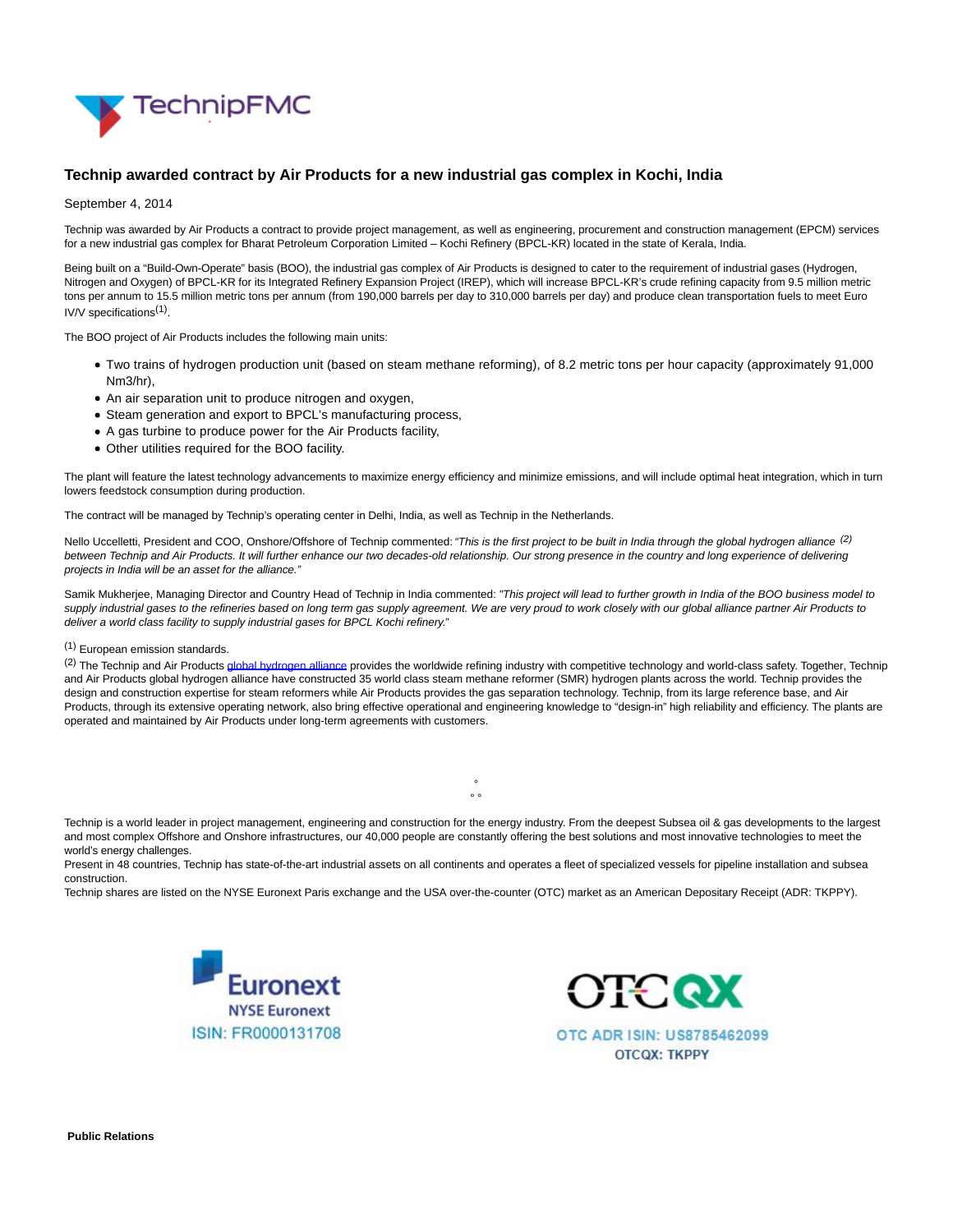

## **Technip awarded contract by Air Products for a new industrial gas complex in Kochi, India**

September 4, 2014

Technip was awarded by Air Products a contract to provide project management, as well as engineering, procurement and construction management (EPCM) services for a new industrial gas complex for Bharat Petroleum Corporation Limited – Kochi Refinery (BPCL-KR) located in the state of Kerala, India.

Being built on a "Build-Own-Operate" basis (BOO), the industrial gas complex of Air Products is designed to cater to the requirement of industrial gases (Hydrogen, Nitrogen and Oxygen) of BPCL-KR for its Integrated Refinery Expansion Project (IREP), which will increase BPCL-KR's crude refining capacity from 9.5 million metric tons per annum to 15.5 million metric tons per annum (from 190,000 barrels per day to 310,000 barrels per day) and produce clean transportation fuels to meet Euro IV/V specifications<sup>(1)</sup>.

The BOO project of Air Products includes the following main units:

- Two trains of hydrogen production unit (based on steam methane reforming), of 8.2 metric tons per hour capacity (approximately 91,000 Nm3/hr),
- An air separation unit to produce nitrogen and oxygen,
- Steam generation and export to BPCL's manufacturing process,
- A gas turbine to produce power for the Air Products facility,
- Other utilities required for the BOO facility.

The plant will feature the latest technology advancements to maximize energy efficiency and minimize emissions, and will include optimal heat integration, which in turn lowers feedstock consumption during production.

The contract will be managed by Technip's operating center in Delhi, India, as well as Technip in the Netherlands.

Nello Uccelletti, President and COO, Onshore/Offshore of Technip commented: "This is the first project to be built in India through the global hydrogen alliance <sup>(2)</sup> between Technip and Air Products. It will further enhance our two decades-old relationship. Our strong presence in the country and long experience of delivering projects in India will be an asset for the alliance."

Samik Mukherjee, Managing Director and Country Head of Technip in India commented: "This project will lead to further growth in India of the BOO business model to supply industrial gases to the refineries based on long term gas supply agreement. We are very proud to work closely with our global alliance partner Air Products to deliver a world class facility to supply industrial gases for BPCL Kochi refinery."

## (1) European emission standards.

<sup>(2)</sup> The Technip and Air Product[s global hydrogen alliance p](http://www.technip.com/en/press/technip-and-air-products-global-hydrogen-alliance-marks-20-years-success)rovides the worldwide refining industry with competitive technology and world-class safety. Together, Technip and Air Products global hydrogen alliance have constructed 35 world class steam methane reformer (SMR) hydrogen plants across the world. Technip provides the design and construction expertise for steam reformers while Air Products provides the gas separation technology. Technip, from its large reference base, and Air Products, through its extensive operating network, also bring effective operational and engineering knowledge to "design-in" high reliability and efficiency. The plants are operated and maintained by Air Products under long-term agreements with customers.

Technip is a world leader in project management, engineering and construction for the energy industry. From the deepest Subsea oil & gas developments to the largest and most complex Offshore and Onshore infrastructures, our 40,000 people are constantly offering the best solutions and most innovative technologies to meet the world's energy challenges.

°  $\sim$   $\sim$ 

Present in 48 countries, Technip has state-of-the-art industrial assets on all continents and operates a fleet of specialized vessels for pipeline installation and subsea construction.

Technip shares are listed on the NYSE Euronext Paris exchange and the USA over-the-counter (OTC) market as an American Depositary Receipt (ADR: TKPPY).





**Public Relations**